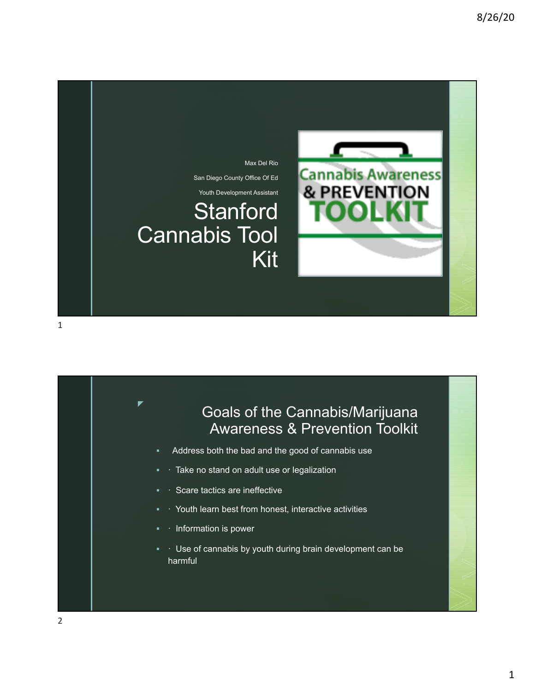



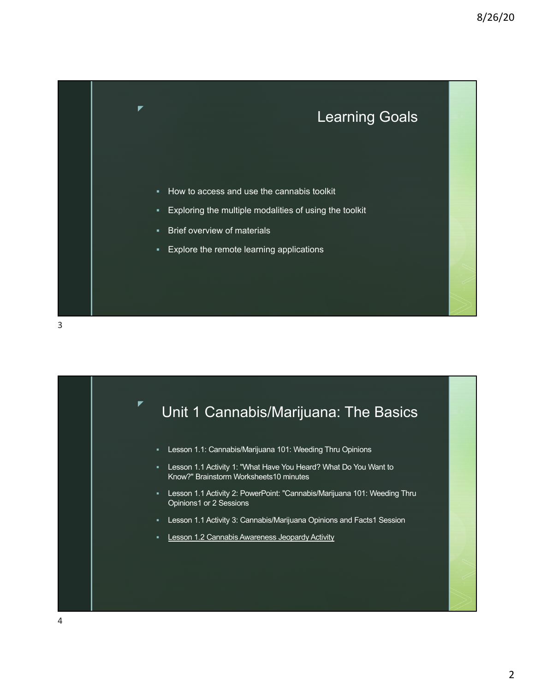

Unit 1 Cannabis/Marijuana: The Basics

- § Lesson 1.1: Cannabis/Marijuana 101: Weeding Thru Opinions
- § Lesson 1.1 Activity 1: "What Have You Heard? What Do You Want to Know?" Brainstorm Worksheets10 minutes
- § Lesson 1.1 Activity 2: PowerPoint: "Cannabis/Marijuana 101: Weeding Thru Opinions1 or 2 Sessions
- § Lesson 1.1 Activity 3: Cannabis/Marijuana Opinions and Facts1 Session
- **Lesson 1.2 Cannabis Awareness Jeopardy Activity**

z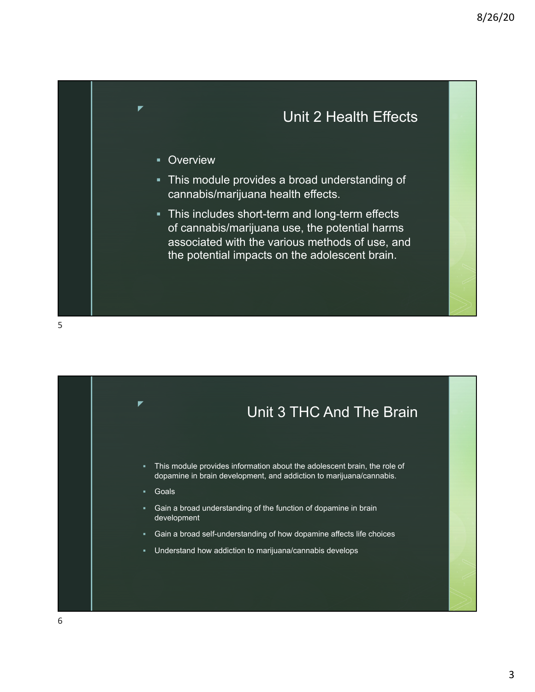

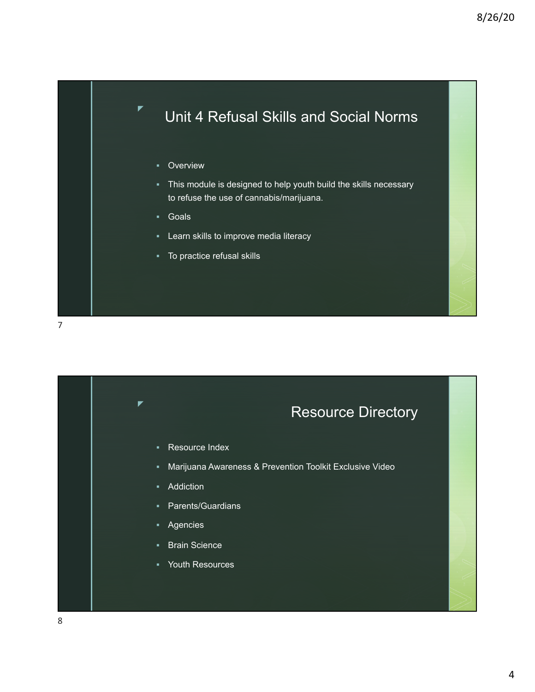## Unit 4 Refusal Skills and Social Norms

**•** Overview

z

- § This module is designed to help youth build the skills necessary to refuse the use of cannabis/marijuana.
- § Goals
- **E** Learn skills to improve media literacy
- § To practice refusal skills



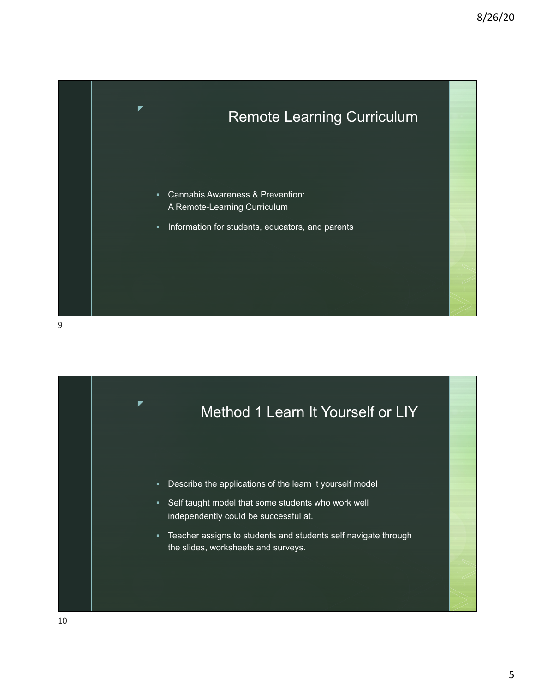

9

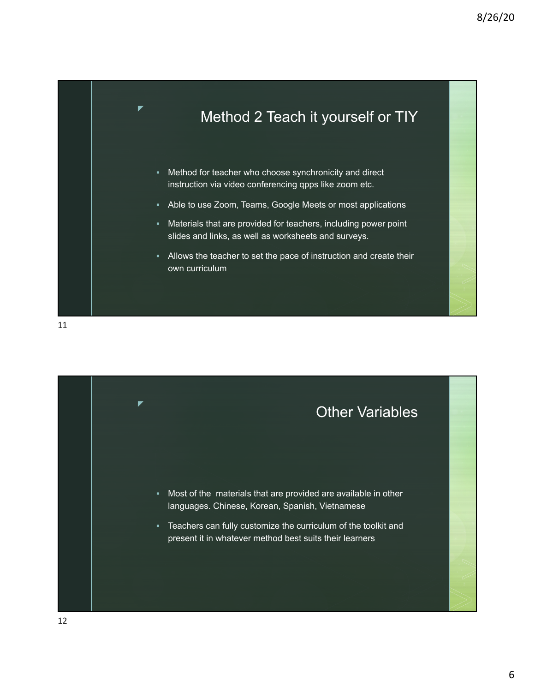

11

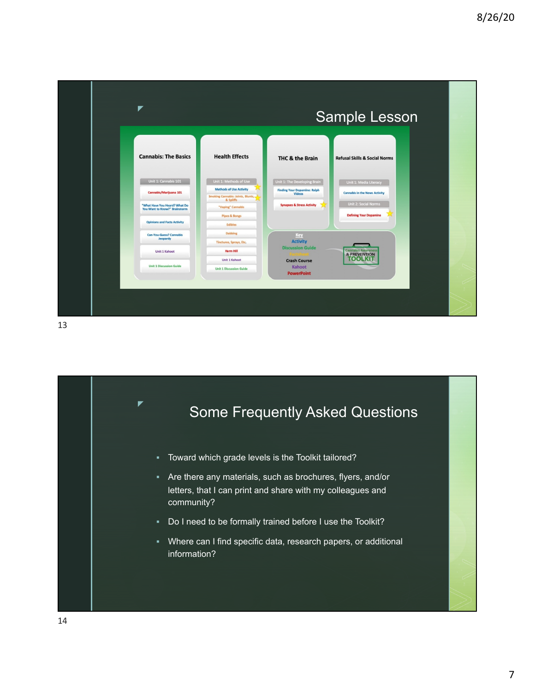| ▼                                                                                                                                                      |                                                                                                                                                                               | Sample Lesson                                                                                                           |                                                                                                                         |
|--------------------------------------------------------------------------------------------------------------------------------------------------------|-------------------------------------------------------------------------------------------------------------------------------------------------------------------------------|-------------------------------------------------------------------------------------------------------------------------|-------------------------------------------------------------------------------------------------------------------------|
| <b>Cannabis: The Basics</b>                                                                                                                            | <b>Health Effects</b>                                                                                                                                                         | THC & the Brain                                                                                                         | <b>Refusal Skills &amp; Social Norms</b>                                                                                |
| Unit 1: Cannabis 101<br>Cannabis/Marijuana 101<br>"What Have You Heard? What Do<br>You Want to Know?" Brainstorm<br><b>Opinions and Facts Activity</b> | Unit 1: Methods of Use<br><b>Methods of Use Activity</b><br>Smoking Cannabis: Joints, Blunts,<br>& Spliffs<br>"Vaping" Cannabis<br><b>Pipes &amp; Bongs</b><br><b>Edibles</b> | Unit 1: The Developing Brain<br><b>Finding Your Dopamine: Ralph<br/>Videos</b><br><b>Synapses &amp; Stress Activity</b> | Unit 1: Media Literacy<br><b>Cannabis in the News Activity</b><br>Unit 2: Social Norms<br><b>Defining Your Dopamine</b> |
| <b>Can-You-Guess? Cannabis</b><br>Jeopardy<br><b>Unit 1 Kahoot</b><br><b>Unit 1 Discussion Guide</b>                                                   | Dabbing<br>Tinctures, Sprays, Etc.<br><b>Harm Hill</b><br><b>Unit 1 Kahoot</b><br><b>Unit 1 Discussion Guide</b>                                                              | Key<br><b>Activity</b><br><b>Discussion Guide</b><br><b>Crash Course</b><br>Kahoot<br><b>PowerPoint</b>                 | <b>Cannabis Awareness</b><br>& <b>PREVENTION</b>                                                                        |